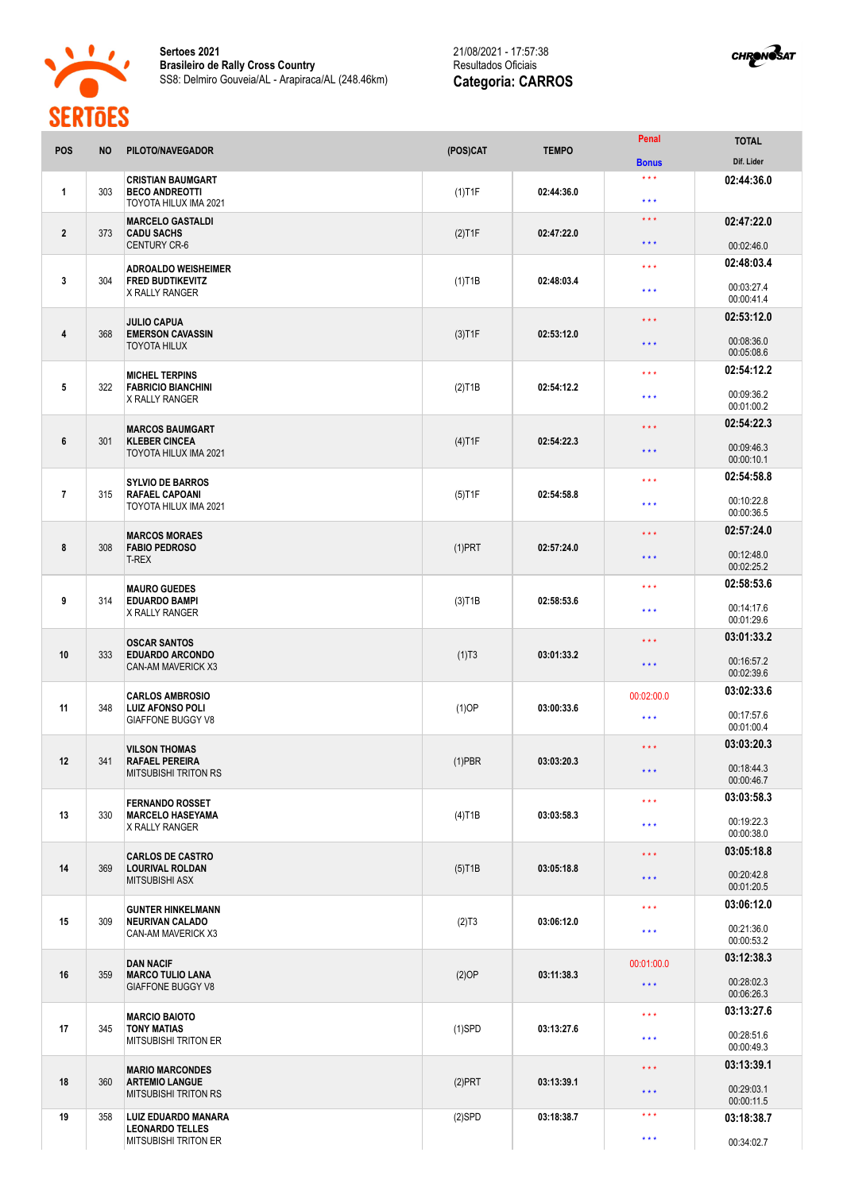



| POS              | <b>NO</b> | PILOTO/NAVEGADOR                                                               | (POS)CAT               | <b>TEMPO</b> | Penal                          | <b>TOTAL</b>             |
|------------------|-----------|--------------------------------------------------------------------------------|------------------------|--------------|--------------------------------|--------------------------|
|                  |           |                                                                                |                        |              | <b>Bonus</b>                   | Dif. Lider               |
| 1                | 303       | <b>CRISTIAN BAUMGART</b><br><b>BECO ANDREOTTI</b><br>TOYOTA HILUX IMA 2021     | $(1)$ T1F              | 02:44:36.0   | $* * *$<br>$\star \star \star$ | 02:44:36.0               |
| $\boldsymbol{2}$ | 373       | <b>MARCELO GASTALDI</b><br><b>CADU SACHS</b>                                   | $(2)$ T1F              | 02:47:22.0   | $\star$ $\star$ $\star$        | 02:47:22.0               |
|                  |           | <b>CENTURY CR-6</b>                                                            |                        |              | $***$                          | 00:02:46.0               |
|                  |           | <b>ADROALDO WEISHEIMER</b>                                                     |                        |              | * * *                          | 02:48:03.4               |
| 3                | 304       | <b>FRED BUDTIKEVITZ</b><br><b>X RALLY RANGER</b>                               | $(1)$ T1B              | 02:48:03.4   | $***$                          | 00:03:27.4<br>00:00:41.4 |
|                  |           | <b>JULIO CAPUA</b>                                                             |                        |              | * * *                          | 02:53:12.0               |
| 4                | 368       | <b>EMERSON CAVASSIN</b><br><b>TOYOTA HILUX</b>                                 | $(3)$ T1F              | 02:53:12.0   | $\star \star \star$            | 00:08:36.0<br>00:05:08.6 |
|                  |           | <b>MICHEL TERPINS</b><br><b>FABRICIO BIANCHINI</b><br>X RALLY RANGER           | $(2)$ T <sub>1</sub> B | 02:54:12.2   | $* * *$                        | 02:54:12.2               |
| 5                | 322       |                                                                                |                        |              | $***$                          | 00:09:36.2<br>00:01:00.2 |
|                  |           |                                                                                |                        |              | $\star \star \star$            | 02:54:22.3               |
| 6                | 301       | <b>MARCOS BAUMGART</b><br><b>KLEBER CINCEA</b><br><b>TOYOTA HILUX IMA 2021</b> | $(4)$ T1F              | 02:54:22.3   | $* * *$                        | 00:09:46.3<br>00:00:10.1 |
|                  |           | <b>SYLVIO DE BARROS</b>                                                        |                        |              | * * *                          | 02:54:58.8               |
| $\overline{7}$   | 315       | <b>RAFAEL CAPOANI</b><br>TOYOTA HILUX IMA 2021                                 | $(5)$ T1F              | 02:54:58.8   | $\star \star \star$            | 00:10:22.8<br>00:00:36.5 |
|                  |           |                                                                                | $(1)$ PRT              |              | * * *                          | 02:57:24.0               |
| 8                | 308       | <b>MARCOS MORAES</b><br><b>FABIO PEDROSO</b><br><b>T-REX</b>                   |                        | 02:57:24.0   | $\star \star \star$            | 00:12:48.0<br>00:02:25.2 |
|                  |           | <b>MAURO GUEDES</b>                                                            |                        |              | $* * *$                        | 02:58:53.6               |
| 9                | 314       | <b>EDUARDO BAMPI</b><br>X RALLY RANGER                                         | $(3)$ T1B              | 02:58:53.6   | $\star \star \star$            | 00:14:17.6<br>00:01:29.6 |
|                  |           | <b>OSCAR SANTOS</b>                                                            |                        |              | $\star \star \star$            | 03:01:33.2               |
| 10               | 333       | <b>EDUARDO ARCONDO</b><br><b>CAN-AM MAVERICK X3</b>                            | (1)T3                  | 03:01:33.2   | $\star \star \star$            | 00:16:57.2<br>00:02:39.6 |
|                  |           | <b>CARLOS AMBROSIO</b>                                                         |                        |              | 00:02:00.0                     | 03:02:33.6               |
| 11               | 348       | <b>LUIZ AFONSO POLI</b><br><b>GIAFFONE BUGGY V8</b>                            | $(1)$ OP               | 03:00:33.6   | $***$                          | 00:17:57.6<br>00:01:00.4 |
|                  |           | <b>VILSON THOMAS</b>                                                           |                        |              | $***$                          | 03:03:20.3               |
| 12               | 341       | <b>RAFAEL PEREIRA</b><br><b>MITSUBISHI TRITON RS</b>                           | $(1)$ PBR              | 03:03:20.3   | $\star\star\star$              | 00:18:44.3               |
|                  |           |                                                                                |                        |              |                                | 00:00:46.7<br>03:03:58.3 |
| 13               | 330       | <b>FERNANDO ROSSET</b><br><b>MARCELO HASEYAMA</b>                              | $(4)$ T1B              | 03:03:58.3   | $\star \star \star$            |                          |
|                  |           | X RALLY RANGER                                                                 |                        |              | $\star\star\star$              | 00:19:22.3<br>00:00:38.0 |
|                  |           | <b>CARLOS DE CASTRO</b>                                                        |                        |              | $\star \star \star$            | 03:05:18.8               |
| 14               | 369       | <b>LOURIVAL ROLDAN</b><br><b>MITSUBISHI ASX</b>                                | $(5)$ T1B              | 03:05:18.8   | $\star\star\star$              | 00:20:42.8<br>00:01:20.5 |
|                  |           | <b>GUNTER HINKELMANN</b>                                                       |                        |              | $\star\star\star$              | 03:06:12.0               |
| 15               | 309       | <b>NEURIVAN CALADO</b><br>CAN-AM MAVERICK X3                                   | (2)T3                  | 03:06:12.0   | $\star\star\star$              | 00:21:36.0<br>00:00:53.2 |
|                  |           | <b>DAN NACIF</b>                                                               |                        | 03:11:38.3   | 00:01:00.0                     | 03:12:38.3               |
| 16               | 359       | <b>MARCO TULIO LANA</b><br><b>GIAFFONE BUGGY V8</b>                            | (2)OP                  |              | $\star$ $\star$ $\star$        | 00:28:02.3<br>00:06:26.3 |
|                  |           | <b>MARCIO BAIOTO</b>                                                           |                        |              | ***                            | 03:13:27.6               |
| 17               | 345       | <b>TONY MATIAS</b><br><b>MITSUBISHI TRITON ER</b>                              | $(1)$ SPD              | 03:13:27.6   | $\star\star\star$              | 00:28:51.6<br>00:00:49.3 |
|                  |           | <b>MARIO MARCONDES</b>                                                         |                        |              | $\star\star\star$              | 03:13:39.1               |
| 18               | 360       | <b>ARTEMIO LANGUE</b><br><b>MITSUBISHI TRITON RS</b>                           | $(2)$ PRT              | 03:13:39.1   | $\star$ $\star$ $\star$        | 00:29:03.1<br>00:00:11.5 |
| 19               | 358       | <b>LUIZ EDUARDO MANARA</b>                                                     | $(2)$ SPD              | 03:18:38.7   | $\star$ $\star$ $\star$        | 03:18:38.7               |
|                  |           | <b>LEONARDO TELLES</b><br><b>MITSUBISHI TRITON ER</b>                          |                        |              | $\star\star\star$              | 00:34:02.7               |